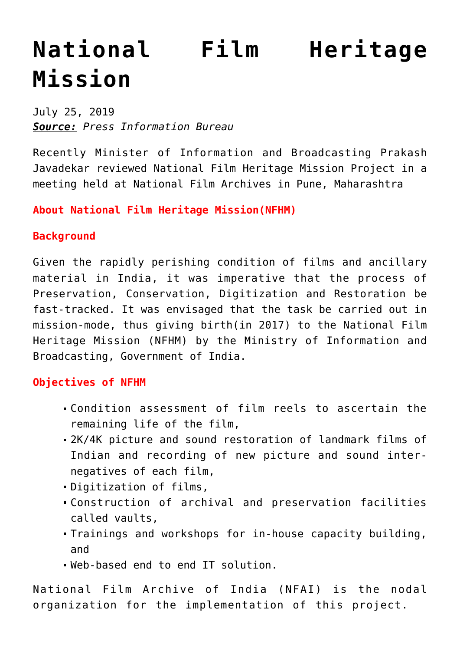## **[National Film Heritage](https://journalsofindia.com/national-film-heritage-mission/) [Mission](https://journalsofindia.com/national-film-heritage-mission/)**

July 25, 2019 *Source: Press Information Bureau*

Recently Minister of Information and Broadcasting Prakash Javadekar reviewed National Film Heritage Mission Project in a meeting held at National Film Archives in Pune, Maharashtra

**About National Film Heritage Mission(NFHM)**

## **Background**

Given the rapidly perishing condition of films and ancillary material in India, it was imperative that the process of Preservation, Conservation, Digitization and Restoration be fast-tracked. It was envisaged that the task be carried out in mission-mode, thus giving birth(in 2017) to the National Film Heritage Mission (NFHM) by the Ministry of Information and Broadcasting, Government of India.

## **Objectives of NFHM**

- Condition assessment of film reels to ascertain the remaining life of the film,
- 2K/4K picture and sound restoration of landmark films of Indian and recording of new picture and sound internegatives of each film,
- Digitization of films,
- Construction of archival and preservation facilities called vaults,
- Trainings and workshops for in-house capacity building, and
- Web-based end to end IT solution.

National Film Archive of India (NFAI) is the nodal organization for the implementation of this project.